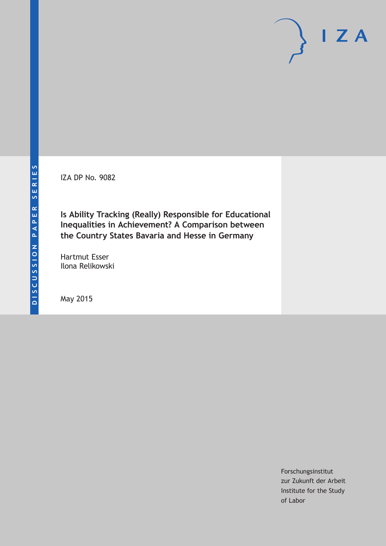IZA DP No. 9082

**Is Ability Tracking (Really) Responsible for Educational Inequalities in Achievement? A Comparison between the Country States Bavaria and Hesse in Germany**

Hartmut Esser Ilona Relikowski

May 2015

Forschungsinstitut zur Zukunft der Arbeit Institute for the Study of Labor

 $I Z A$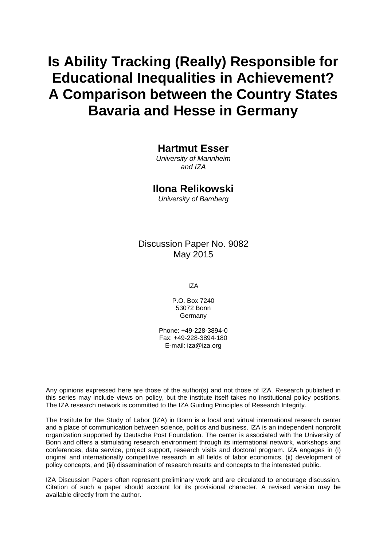# **Is Ability Tracking (Really) Responsible for Educational Inequalities in Achievement? A Comparison between the Country States Bavaria and Hesse in Germany**

# **Hartmut Esser**

*University of Mannheim and IZA*

# **Ilona Relikowski**

*University of Bamberg*

# Discussion Paper No. 9082 May 2015

IZA

P.O. Box 7240 53072 Bonn **Germany** 

Phone: +49-228-3894-0 Fax: +49-228-3894-180 E-mail: iza@iza.org

Any opinions expressed here are those of the author(s) and not those of IZA. Research published in this series may include views on policy, but the institute itself takes no institutional policy positions. The IZA research network is committed to the IZA Guiding Principles of Research Integrity.

The Institute for the Study of Labor (IZA) in Bonn is a local and virtual international research center and a place of communication between science, politics and business. IZA is an independent nonprofit organization supported by Deutsche Post Foundation. The center is associated with the University of Bonn and offers a stimulating research environment through its international network, workshops and conferences, data service, project support, research visits and doctoral program. IZA engages in (i) original and internationally competitive research in all fields of labor economics, (ii) development of policy concepts, and (iii) dissemination of research results and concepts to the interested public.

IZA Discussion Papers often represent preliminary work and are circulated to encourage discussion. Citation of such a paper should account for its provisional character. A revised version may be available directly from the author.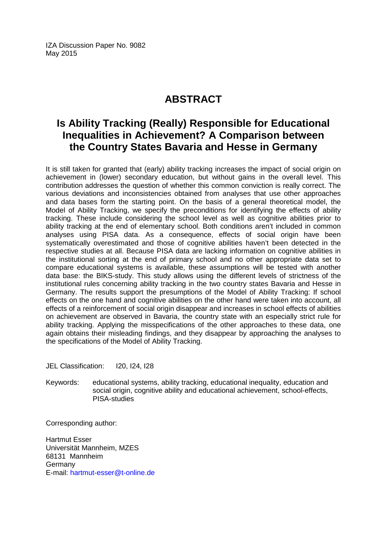IZA Discussion Paper No. 9082 May 2015

# **ABSTRACT**

# **Is Ability Tracking (Really) Responsible for Educational Inequalities in Achievement? A Comparison between the Country States Bavaria and Hesse in Germany**

It is still taken for granted that (early) ability tracking increases the impact of social origin on achievement in (lower) secondary education, but without gains in the overall level. This contribution addresses the question of whether this common conviction is really correct. The various deviations and inconsistencies obtained from analyses that use other approaches and data bases form the starting point. On the basis of a general theoretical model, the Model of Ability Tracking, we specify the preconditions for identifying the effects of ability tracking. These include considering the school level as well as cognitive abilities prior to ability tracking at the end of elementary school. Both conditions aren't included in common analyses using PISA data. As a consequence, effects of social origin have been systematically overestimated and those of cognitive abilities haven't been detected in the respective studies at all. Because PISA data are lacking information on cognitive abilities in the institutional sorting at the end of primary school and no other appropriate data set to compare educational systems is available, these assumptions will be tested with another data base: the BIKS-study. This study allows using the different levels of strictness of the institutional rules concerning ability tracking in the two country states Bavaria and Hesse in Germany. The results support the presumptions of the Model of Ability Tracking: If school effects on the one hand and cognitive abilities on the other hand were taken into account, all effects of a reinforcement of social origin disappear and increases in school effects of abilities on achievement are observed in Bavaria, the country state with an especially strict rule for ability tracking. Applying the misspecifications of the other approaches to these data, one again obtains their misleading findings, and they disappear by approaching the analyses to the specifications of the Model of Ability Tracking.

JEL Classification: I20, I24, I28

Keywords: educational systems, ability tracking, educational inequality, education and social origin, cognitive ability and educational achievement, school-effects, PISA-studies

Corresponding author:

Hartmut Esser Universität Mannheim, MZES 68131 Mannheim Germany E-mail: [hartmut-esser@t-online.de](mailto:hartmut-esser@t-online.de)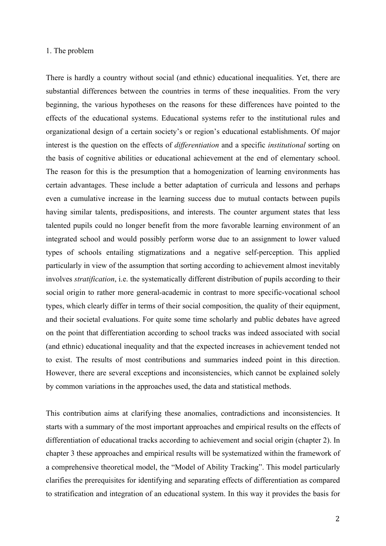#### 1. The problem

There is hardly a country without social (and ethnic) educational inequalities. Yet, there are substantial differences between the countries in terms of these inequalities. From the very beginning, the various hypotheses on the reasons for these differences have pointed to the effects of the educational systems. Educational systems refer to the institutional rules and organizational design of a certain society's or region's educational establishments. Of major interest is the question on the effects of *differentiation* and a specific *institutional* sorting on the basis of cognitive abilities or educational achievement at the end of elementary school. The reason for this is the presumption that a homogenization of learning environments has certain advantages. These include a better adaptation of curricula and lessons and perhaps even a cumulative increase in the learning success due to mutual contacts between pupils having similar talents, predispositions, and interests. The counter argument states that less talented pupils could no longer benefit from the more favorable learning environment of an integrated school and would possibly perform worse due to an assignment to lower valued types of schools entailing stigmatizations and a negative self-perception. This applied particularly in view of the assumption that sorting according to achievement almost inevitably involves *stratification*, i.e. the systematically different distribution of pupils according to their social origin to rather more general-academic in contrast to more specific-vocational school types, which clearly differ in terms of their social composition, the quality of their equipment, and their societal evaluations. For quite some time scholarly and public debates have agreed on the point that differentiation according to school tracks was indeed associated with social (and ethnic) educational inequality and that the expected increases in achievement tended not to exist. The results of most contributions and summaries indeed point in this direction. However, there are several exceptions and inconsistencies, which cannot be explained solely by common variations in the approaches used, the data and statistical methods.

This contribution aims at clarifying these anomalies, contradictions and inconsistencies. It starts with a summary of the most important approaches and empirical results on the effects of differentiation of educational tracks according to achievement and social origin (chapter 2). In chapter 3 these approaches and empirical results will be systematized within the framework of a comprehensive theoretical model, the "Model of Ability Tracking". This model particularly clarifies the prerequisites for identifying and separating effects of differentiation as compared to stratification and integration of an educational system. In this way it provides the basis for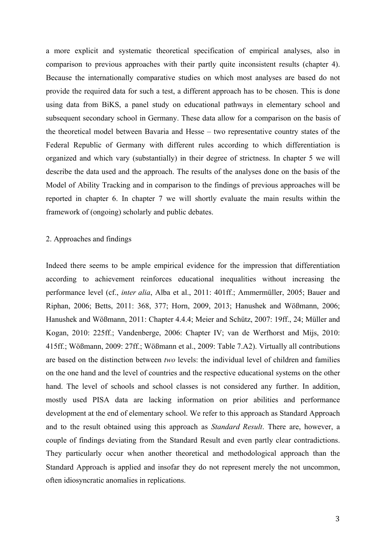a more explicit and systematic theoretical specification of empirical analyses, also in comparison to previous approaches with their partly quite inconsistent results (chapter 4). Because the internationally comparative studies on which most analyses are based do not provide the required data for such a test, a different approach has to be chosen. This is done using data from BiKS, a panel study on educational pathways in elementary school and subsequent secondary school in Germany. These data allow for a comparison on the basis of the theoretical model between Bavaria and Hesse – two representative country states of the Federal Republic of Germany with different rules according to which differentiation is organized and which vary (substantially) in their degree of strictness. In chapter 5 we will describe the data used and the approach. The results of the analyses done on the basis of the Model of Ability Tracking and in comparison to the findings of previous approaches will be reported in chapter 6. In chapter 7 we will shortly evaluate the main results within the framework of (ongoing) scholarly and public debates.

# 2. Approaches and findings

Indeed there seems to be ample empirical evidence for the impression that differentiation according to achievement reinforces educational inequalities without increasing the performance level (cf., *inter alia*, Alba et al., 2011: 401ff.; Ammermüller, 2005; Bauer and Riphan, 2006; Betts, 2011: 368, 377; Horn, 2009, 2013; Hanushek and Wößmann, 2006; Hanushek and Wößmann, 2011: Chapter 4.4.4; Meier and Schütz, 2007: 19ff., 24; Müller and Kogan, 2010: 225ff.; Vandenberge, 2006: Chapter IV; van de Werfhorst and Mijs, 2010: 415ff.; Wößmann, 2009: 27ff.; Wößmann et al., 2009: Table 7.A2). Virtually all contributions are based on the distinction between *two* levels: the individual level of children and families on the one hand and the level of countries and the respective educational systems on the other hand. The level of schools and school classes is not considered any further. In addition, mostly used PISA data are lacking information on prior abilities and performance development at the end of elementary school. We refer to this approach as Standard Approach and to the result obtained using this approach as *Standard Result*. There are, however, a couple of findings deviating from the Standard Result and even partly clear contradictions. They particularly occur when another theoretical and methodological approach than the Standard Approach is applied and insofar they do not represent merely the not uncommon, often idiosyncratic anomalies in replications.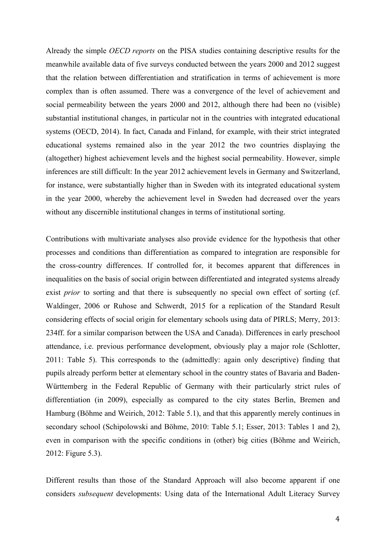Already the simple *OECD reports* on the PISA studies containing descriptive results for the meanwhile available data of five surveys conducted between the years 2000 and 2012 suggest that the relation between differentiation and stratification in terms of achievement is more complex than is often assumed. There was a convergence of the level of achievement and social permeability between the years 2000 and 2012, although there had been no (visible) substantial institutional changes, in particular not in the countries with integrated educational systems (OECD, 2014). In fact, Canada and Finland, for example, with their strict integrated educational systems remained also in the year 2012 the two countries displaying the (altogether) highest achievement levels and the highest social permeability. However, simple inferences are still difficult: In the year 2012 achievement levels in Germany and Switzerland, for instance, were substantially higher than in Sweden with its integrated educational system in the year 2000, whereby the achievement level in Sweden had decreased over the years without any discernible institutional changes in terms of institutional sorting.

Contributions with multivariate analyses also provide evidence for the hypothesis that other processes and conditions than differentiation as compared to integration are responsible for the cross-country differences. If controlled for, it becomes apparent that differences in inequalities on the basis of social origin between differentiated and integrated systems already exist *prior* to sorting and that there is subsequently no special own effect of sorting (cf. Waldinger, 2006 or Ruhose and Schwerdt, 2015 for a replication of the Standard Result considering effects of social origin for elementary schools using data of PIRLS; Merry, 2013: 234ff. for a similar comparison between the USA and Canada). Differences in early preschool attendance, i.e. previous performance development, obviously play a major role (Schlotter, 2011: Table 5). This corresponds to the (admittedly: again only descriptive) finding that pupils already perform better at elementary school in the country states of Bavaria and Baden-Württemberg in the Federal Republic of Germany with their particularly strict rules of differentiation (in 2009), especially as compared to the city states Berlin, Bremen and Hamburg (Böhme and Weirich, 2012: Table 5.1), and that this apparently merely continues in secondary school (Schipolowski and Böhme, 2010: Table 5.1; Esser, 2013: Tables 1 and 2), even in comparison with the specific conditions in (other) big cities (Böhme and Weirich, 2012: Figure 5.3).

Different results than those of the Standard Approach will also become apparent if one considers *subsequent* developments: Using data of the International Adult Literacy Survey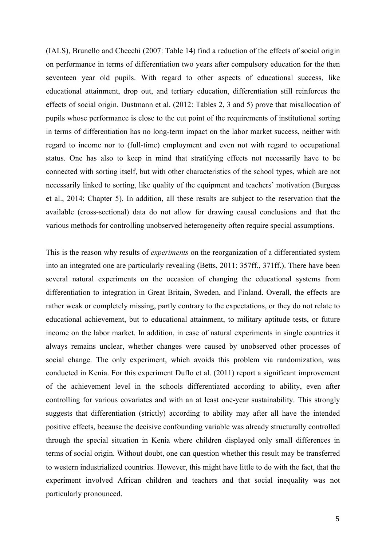(IALS), Brunello and Checchi (2007: Table 14) find a reduction of the effects of social origin on performance in terms of differentiation two years after compulsory education for the then seventeen year old pupils. With regard to other aspects of educational success, like educational attainment, drop out, and tertiary education, differentiation still reinforces the effects of social origin. Dustmann et al. (2012: Tables 2, 3 and 5) prove that misallocation of pupils whose performance is close to the cut point of the requirements of institutional sorting in terms of differentiation has no long-term impact on the labor market success, neither with regard to income nor to (full-time) employment and even not with regard to occupational status. One has also to keep in mind that stratifying effects not necessarily have to be connected with sorting itself, but with other characteristics of the school types, which are not necessarily linked to sorting, like quality of the equipment and teachers' motivation (Burgess et al., 2014: Chapter 5). In addition, all these results are subject to the reservation that the available (cross-sectional) data do not allow for drawing causal conclusions and that the various methods for controlling unobserved heterogeneity often require special assumptions.

This is the reason why results of *experiments* on the reorganization of a differentiated system into an integrated one are particularly revealing (Betts, 2011: 357ff., 371ff.). There have been several natural experiments on the occasion of changing the educational systems from differentiation to integration in Great Britain, Sweden, and Finland. Overall, the effects are rather weak or completely missing, partly contrary to the expectations, or they do not relate to educational achievement, but to educational attainment, to military aptitude tests, or future income on the labor market. In addition, in case of natural experiments in single countries it always remains unclear, whether changes were caused by unobserved other processes of social change. The only experiment, which avoids this problem via randomization, was conducted in Kenia. For this experiment Duflo et al. (2011) report a significant improvement of the achievement level in the schools differentiated according to ability, even after controlling for various covariates and with an at least one-year sustainability. This strongly suggests that differentiation (strictly) according to ability may after all have the intended positive effects, because the decisive confounding variable was already structurally controlled through the special situation in Kenia where children displayed only small differences in terms of social origin. Without doubt, one can question whether this result may be transferred to western industrialized countries. However, this might have little to do with the fact, that the experiment involved African children and teachers and that social inequality was not particularly pronounced.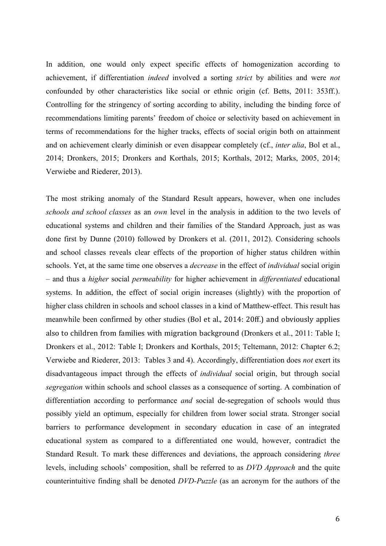In addition, one would only expect specific effects of homogenization according to achievement, if differentiation *indeed* involved a sorting *strict* by abilities and were *not* confounded by other characteristics like social or ethnic origin (cf. Betts, 2011: 353ff.). Controlling for the stringency of sorting according to ability, including the binding force of recommendations limiting parents' freedom of choice or selectivity based on achievement in terms of recommendations for the higher tracks, effects of social origin both on attainment and on achievement clearly diminish or even disappear completely (cf., *inter alia*, Bol et al., 2014; Dronkers, 2015; Dronkers and Korthals, 2015; Korthals, 2012; Marks, 2005, 2014; Verwiebe and Riederer, 2013).

The most striking anomaly of the Standard Result appears, however, when one includes *schools and school classes* as an *own* level in the analysis in addition to the two levels of educational systems and children and their families of the Standard Approach, just as was done first by Dunne (2010) followed by Dronkers et al. (2011, 2012). Considering schools and school classes reveals clear effects of the proportion of higher status children within schools. Yet, at the same time one observes a *decrease* in the effect of *individual* social origin – and thus a *higher* social *permeability* for higher achievement in *differentiated* educational systems. In addition, the effect of social origin increases (slightly) with the proportion of higher class children in schools and school classes in a kind of Matthew-effect. This result has meanwhile been confirmed by other studies (Bol et al., 2014: 20ff.) and obviously applies also to children from families with migration background (Dronkers et al., 2011: Table I; Dronkers et al., 2012: Table I; Dronkers and Korthals, 2015; Teltemann, 2012: Chapter 6.2; Verwiebe and Riederer, 2013: Tables 3 and 4). Accordingly, differentiation does *not* exert its disadvantageous impact through the effects of *individual* social origin, but through social *segregation* within schools and school classes as a consequence of sorting. A combination of differentiation according to performance *and* social de-segregation of schools would thus possibly yield an optimum, especially for children from lower social strata. Stronger social barriers to performance development in secondary education in case of an integrated educational system as compared to a differentiated one would, however, contradict the Standard Result. To mark these differences and deviations, the approach considering *three* levels, including schools' composition, shall be referred to as *DVD Approach* and the quite counterintuitive finding shall be denoted *DVD-Puzzle* (as an acronym for the authors of the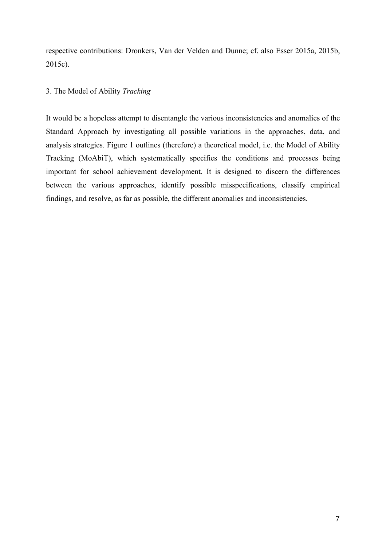respective contributions: Dronkers, Van der Velden and Dunne; cf. also Esser 2015a, 2015b, 2015c).

# 3. The Model of Ability *Tracking*

It would be a hopeless attempt to disentangle the various inconsistencies and anomalies of the Standard Approach by investigating all possible variations in the approaches, data, and analysis strategies. Figure 1 outlines (therefore) a theoretical model, i.e. the Model of Ability Tracking (MoAbiT), which systematically specifies the conditions and processes being important for school achievement development. It is designed to discern the differences between the various approaches, identify possible misspecifications, classify empirical findings, and resolve, as far as possible, the different anomalies and inconsistencies.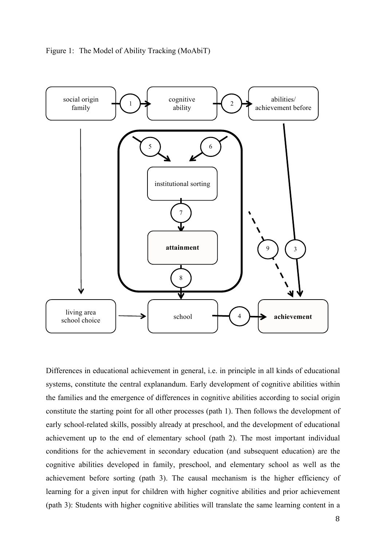



Differences in educational achievement in general, i.e. in principle in all kinds of educational systems, constitute the central explanandum. Early development of cognitive abilities within the families and the emergence of differences in cognitive abilities according to social origin constitute the starting point for all other processes (path 1). Then follows the development of early school-related skills, possibly already at preschool, and the development of educational achievement up to the end of elementary school (path 2). The most important individual conditions for the achievement in secondary education (and subsequent education) are the cognitive abilities developed in family, preschool, and elementary school as well as the achievement before sorting (path 3). The causal mechanism is the higher efficiency of learning for a given input for children with higher cognitive abilities and prior achievement (path 3): Students with higher cognitive abilities will translate the same learning content in a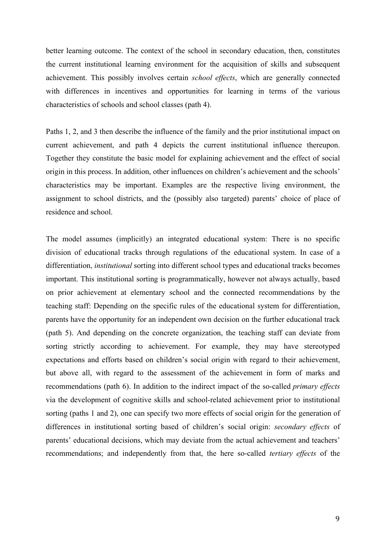better learning outcome. The context of the school in secondary education, then, constitutes the current institutional learning environment for the acquisition of skills and subsequent achievement. This possibly involves certain *school effects*, which are generally connected with differences in incentives and opportunities for learning in terms of the various characteristics of schools and school classes (path 4).

Paths 1, 2, and 3 then describe the influence of the family and the prior institutional impact on current achievement, and path 4 depicts the current institutional influence thereupon. Together they constitute the basic model for explaining achievement and the effect of social origin in this process. In addition, other influences on children's achievement and the schools' characteristics may be important. Examples are the respective living environment, the assignment to school districts, and the (possibly also targeted) parents' choice of place of residence and school.

The model assumes (implicitly) an integrated educational system: There is no specific division of educational tracks through regulations of the educational system. In case of a differentiation, *institutional* sorting into different school types and educational tracks becomes important. This institutional sorting is programmatically, however not always actually, based on prior achievement at elementary school and the connected recommendations by the teaching staff: Depending on the specific rules of the educational system for differentiation, parents have the opportunity for an independent own decision on the further educational track (path 5). And depending on the concrete organization, the teaching staff can deviate from sorting strictly according to achievement. For example, they may have stereotyped expectations and efforts based on children's social origin with regard to their achievement, but above all, with regard to the assessment of the achievement in form of marks and recommendations (path 6). In addition to the indirect impact of the so-called *primary effects* via the development of cognitive skills and school-related achievement prior to institutional sorting (paths 1 and 2), one can specify two more effects of social origin for the generation of differences in institutional sorting based of children's social origin: *secondary effects* of parents' educational decisions, which may deviate from the actual achievement and teachers' recommendations; and independently from that, the here so-called *tertiary effects* of the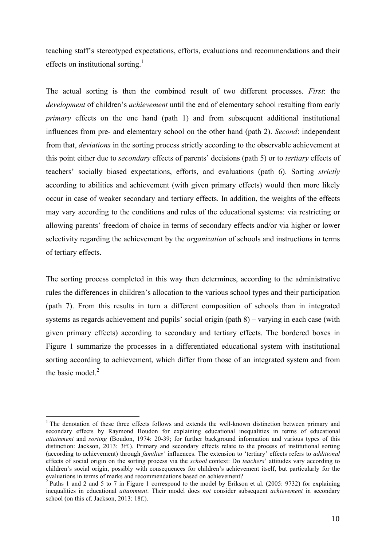teaching staff's stereotyped expectations, efforts, evaluations and recommendations and their effects on institutional sorting.<sup>1</sup>

The actual sorting is then the combined result of two different processes. *First*: the *development* of children's *achievement* until the end of elementary school resulting from early *primary* effects on the one hand (path 1) and from subsequent additional institutional influences from pre- and elementary school on the other hand (path 2). *Second*: independent from that, *deviations* in the sorting process strictly according to the observable achievement at this point either due to *secondary* effects of parents' decisions (path 5) or to *tertiary* effects of teachers' socially biased expectations, efforts, and evaluations (path 6). Sorting *strictly* according to abilities and achievement (with given primary effects) would then more likely occur in case of weaker secondary and tertiary effects. In addition, the weights of the effects may vary according to the conditions and rules of the educational systems: via restricting or allowing parents' freedom of choice in terms of secondary effects and/or via higher or lower selectivity regarding the achievement by the *organization* of schools and instructions in terms of tertiary effects.

The sorting process completed in this way then determines, according to the administrative rules the differences in children's allocation to the various school types and their participation (path 7). From this results in turn a different composition of schools than in integrated systems as regards achievement and pupils' social origin (path 8) – varying in each case (with given primary effects) according to secondary and tertiary effects. The bordered boxes in Figure 1 summarize the processes in a differentiated educational system with institutional sorting according to achievement, which differ from those of an integrated system and from the basic model. $2$ 

<sup>&</sup>lt;sup>1</sup> The denotation of these three effects follows and extends the well-known distinction between primary and secondary effects by Raymond Boudon for explaining educational inequalities in terms of educational *attainment* and *sorting* (Boudon, 1974: 20-39; for further background information and various types of this distinction: Jackson, 2013: 3ff.). Primary and secondary effects relate to the process of institutional sorting (according to achievement) through *families'* influences. The extension to 'tertiary' effects refers to *additional* effects of social origin on the sorting process via the *school* context: Do *teachers*' attitudes vary according to children's social origin, possibly with consequences for children's achievement itself, but particularly for the evaluations in terms of marks and recommendations based on achievement?

<sup>&</sup>lt;sup>2</sup> Paths 1 and 2 and 5 to 7 in Figure 1 correspond to the model by Erikson et al. (2005: 9732) for explaining inequalities in educational *attainment*. Their model does *not* consider subsequent *achievement* in secondary school (on this cf. Jackson, 2013: 18f.).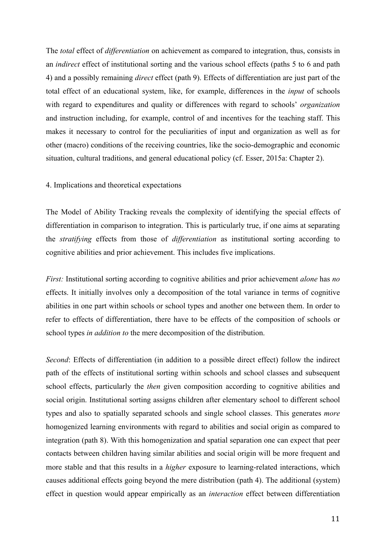The *total* effect of *differentiation* on achievement as compared to integration, thus, consists in an *indirect* effect of institutional sorting and the various school effects (paths 5 to 6 and path 4) and a possibly remaining *direct* effect (path 9). Effects of differentiation are just part of the total effect of an educational system, like, for example, differences in the *input* of schools with regard to expenditures and quality or differences with regard to schools' *organization* and instruction including, for example, control of and incentives for the teaching staff. This makes it necessary to control for the peculiarities of input and organization as well as for other (macro) conditions of the receiving countries, like the socio-demographic and economic situation, cultural traditions, and general educational policy (cf. Esser, 2015a: Chapter 2).

### 4. Implications and theoretical expectations

The Model of Ability Tracking reveals the complexity of identifying the special effects of differentiation in comparison to integration. This is particularly true, if one aims at separating the *stratifying* effects from those of *differentiation* as institutional sorting according to cognitive abilities and prior achievement. This includes five implications.

*First:* Institutional sorting according to cognitive abilities and prior achievement *alone* has *no* effects. It initially involves only a decomposition of the total variance in terms of cognitive abilities in one part within schools or school types and another one between them. In order to refer to effects of differentiation, there have to be effects of the composition of schools or school types *in addition to* the mere decomposition of the distribution.

*Second*: Effects of differentiation (in addition to a possible direct effect) follow the indirect path of the effects of institutional sorting within schools and school classes and subsequent school effects, particularly the *then* given composition according to cognitive abilities and social origin. Institutional sorting assigns children after elementary school to different school types and also to spatially separated schools and single school classes. This generates *more* homogenized learning environments with regard to abilities and social origin as compared to integration (path 8). With this homogenization and spatial separation one can expect that peer contacts between children having similar abilities and social origin will be more frequent and more stable and that this results in a *higher* exposure to learning-related interactions, which causes additional effects going beyond the mere distribution (path 4). The additional (system) effect in question would appear empirically as an *interaction* effect between differentiation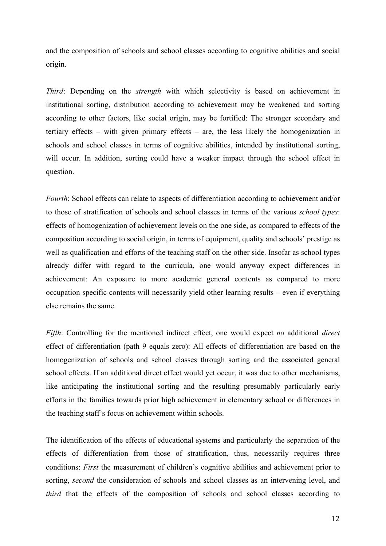and the composition of schools and school classes according to cognitive abilities and social origin.

*Third*: Depending on the *strength* with which selectivity is based on achievement in institutional sorting, distribution according to achievement may be weakened and sorting according to other factors, like social origin, may be fortified: The stronger secondary and tertiary effects – with given primary effects – are, the less likely the homogenization in schools and school classes in terms of cognitive abilities, intended by institutional sorting, will occur. In addition, sorting could have a weaker impact through the school effect in question.

*Fourth*: School effects can relate to aspects of differentiation according to achievement and/or to those of stratification of schools and school classes in terms of the various *school types*: effects of homogenization of achievement levels on the one side, as compared to effects of the composition according to social origin, in terms of equipment, quality and schools' prestige as well as qualification and efforts of the teaching staff on the other side. Insofar as school types already differ with regard to the curricula, one would anyway expect differences in achievement: An exposure to more academic general contents as compared to more occupation specific contents will necessarily yield other learning results – even if everything else remains the same.

*Fifth*: Controlling for the mentioned indirect effect, one would expect *no* additional *direct* effect of differentiation (path 9 equals zero): All effects of differentiation are based on the homogenization of schools and school classes through sorting and the associated general school effects. If an additional direct effect would yet occur, it was due to other mechanisms, like anticipating the institutional sorting and the resulting presumably particularly early efforts in the families towards prior high achievement in elementary school or differences in the teaching staff's focus on achievement within schools.

The identification of the effects of educational systems and particularly the separation of the effects of differentiation from those of stratification, thus, necessarily requires three conditions: *First* the measurement of children's cognitive abilities and achievement prior to sorting, *second* the consideration of schools and school classes as an intervening level, and *third* that the effects of the composition of schools and school classes according to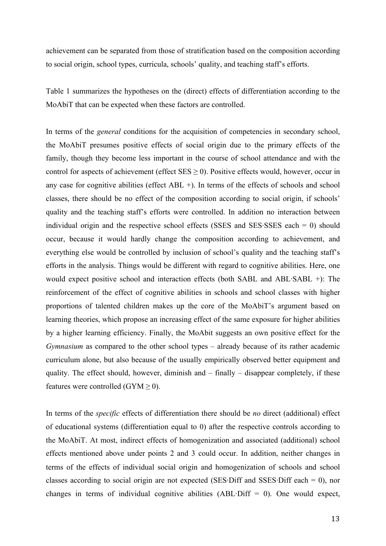achievement can be separated from those of stratification based on the composition according to social origin, school types, curricula, schools' quality, and teaching staff's efforts.

Table 1 summarizes the hypotheses on the (direct) effects of differentiation according to the MoAbiT that can be expected when these factors are controlled.

In terms of the *general* conditions for the acquisition of competencies in secondary school, the MoAbiT presumes positive effects of social origin due to the primary effects of the family, though they become less important in the course of school attendance and with the control for aspects of achievement (effect  $SES \ge 0$ ). Positive effects would, however, occur in any case for cognitive abilities (effect ABL +). In terms of the effects of schools and school classes, there should be no effect of the composition according to social origin, if schools' quality and the teaching staff's efforts were controlled. In addition no interaction between individual origin and the respective school effects (SSES and SES·SSES each = 0) should occur, because it would hardly change the composition according to achievement, and everything else would be controlled by inclusion of school's quality and the teaching staff's efforts in the analysis. Things would be different with regard to cognitive abilities. Here, one would expect positive school and interaction effects (both SABL and ABL·SABL +): The reinforcement of the effect of cognitive abilities in schools and school classes with higher proportions of talented children makes up the core of the MoAbiT's argument based on learning theories, which propose an increasing effect of the same exposure for higher abilities by a higher learning efficiency. Finally, the MoAbit suggests an own positive effect for the *Gymnasium* as compared to the other school types – already because of its rather academic curriculum alone, but also because of the usually empirically observed better equipment and quality. The effect should, however, diminish and – finally – disappear completely, if these features were controlled (GYM  $\geq$  0).

In terms of the *specific* effects of differentiation there should be *no* direct (additional) effect of educational systems (differentiation equal to 0) after the respective controls according to the MoAbiT. At most, indirect effects of homogenization and associated (additional) school effects mentioned above under points 2 and 3 could occur. In addition, neither changes in terms of the effects of individual social origin and homogenization of schools and school classes according to social origin are not expected (SES Diff and SSES Diff each  $= 0$ ), nor changes in terms of individual cognitive abilities  $(ABL\cdot Diff = 0)$ . One would expect,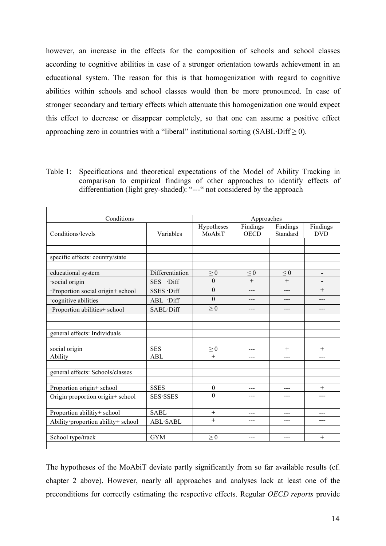however, an increase in the effects for the composition of schools and school classes according to cognitive abilities in case of a stronger orientation towards achievement in an educational system. The reason for this is that homogenization with regard to cognitive abilities within schools and school classes would then be more pronounced. In case of stronger secondary and tertiary effects which attenuate this homogenization one would expect this effect to decrease or disappear completely, so that one can assume a positive effect approaching zero in countries with a "liberal" institutional sorting (SABL·Diff  $\geq$  0).

Table 1: Specifications and theoretical expectations of the Model of Ability Tracking in comparison to empirical findings of other approaches to identify effects of differentiation (light grey-shaded): "---" not considered by the approach

| Conditions                         |                  |                              | Approaches  |          |                          |  |
|------------------------------------|------------------|------------------------------|-------------|----------|--------------------------|--|
|                                    |                  | Hypotheses                   | Findings    | Findings | Findings                 |  |
| Conditions/levels                  | Variables        | MoAbiT                       | <b>OECD</b> | Standard | <b>DVD</b>               |  |
|                                    |                  |                              |             |          |                          |  |
|                                    |                  |                              |             |          |                          |  |
| specific effects: country/state    |                  |                              |             |          |                          |  |
|                                    |                  |                              |             |          |                          |  |
| educational system                 | Differentiation  | $\geq 0$                     | $\leq 0$    | $\leq 0$ | $\overline{\phantom{a}}$ |  |
| social origin                      | SES Diff         | $\theta$                     | $+$         | $+$      |                          |  |
| Proportion social origin+ school   | SSES .Diff       | $\theta$                     | ---         | ---      | $+$                      |  |
| cognitive abilities                | ABL .Diff        | $\theta$                     | ---         | ---      | ---                      |  |
| Proportion abilities+ school       | SABL·Diff        | $\geq 0$                     | ---         | ---      | ---                      |  |
|                                    |                  |                              |             |          |                          |  |
|                                    |                  |                              |             |          |                          |  |
| general effects: Individuals       |                  |                              |             |          |                          |  |
|                                    |                  |                              |             |          |                          |  |
| social origin                      | <b>SES</b>       | $\geq 0$                     | ---         | $+$      | $^{+}$                   |  |
| Ability                            | <b>ABL</b>       | $^{+}$                       | ---         | ---      | ---                      |  |
|                                    |                  |                              |             |          |                          |  |
| general effects: Schools/classes   |                  |                              |             |          |                          |  |
|                                    | <b>SSES</b>      |                              |             |          |                          |  |
| Proportion origin+ school          |                  | $\boldsymbol{0}$<br>$\theta$ | ---         | ---      | $^{+}$                   |  |
| Origin proportion origin+ school   | <b>SES</b> ·SSES |                              | ---         | ---      |                          |  |
|                                    |                  |                              |             |          |                          |  |
| Proportion abilitiy+ school        | <b>SABL</b>      | $^{+}$                       | ---         | ---      | ---                      |  |
| Ability proportion ability+ school | <b>ABL</b> ·SABL | $^{+}$                       | ---         | ---      |                          |  |
|                                    |                  |                              |             |          |                          |  |
| School type/track                  | <b>GYM</b>       | $\geq 0$                     | ---         | ---      | $+$                      |  |
|                                    |                  |                              |             |          |                          |  |

The hypotheses of the MoAbiT deviate partly significantly from so far available results (cf. chapter 2 above). However, nearly all approaches and analyses lack at least one of the preconditions for correctly estimating the respective effects. Regular *OECD reports* provide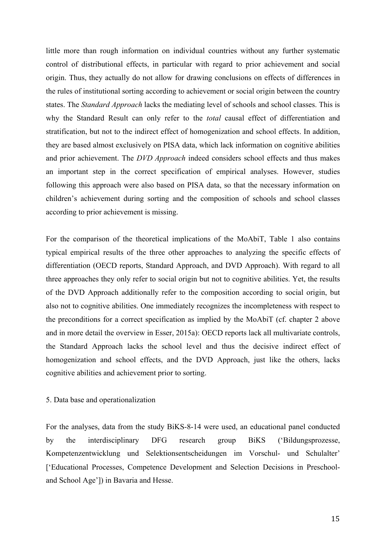little more than rough information on individual countries without any further systematic control of distributional effects, in particular with regard to prior achievement and social origin. Thus, they actually do not allow for drawing conclusions on effects of differences in the rules of institutional sorting according to achievement or social origin between the country states. The *Standard Approach* lacks the mediating level of schools and school classes. This is why the Standard Result can only refer to the *total* causal effect of differentiation and stratification, but not to the indirect effect of homogenization and school effects. In addition, they are based almost exclusively on PISA data, which lack information on cognitive abilities and prior achievement. The *DVD Approach* indeed considers school effects and thus makes an important step in the correct specification of empirical analyses. However, studies following this approach were also based on PISA data, so that the necessary information on children's achievement during sorting and the composition of schools and school classes according to prior achievement is missing.

For the comparison of the theoretical implications of the MoAbiT, Table 1 also contains typical empirical results of the three other approaches to analyzing the specific effects of differentiation (OECD reports, Standard Approach, and DVD Approach). With regard to all three approaches they only refer to social origin but not to cognitive abilities. Yet, the results of the DVD Approach additionally refer to the composition according to social origin, but also not to cognitive abilities. One immediately recognizes the incompleteness with respect to the preconditions for a correct specification as implied by the MoAbiT (cf. chapter 2 above and in more detail the overview in Esser, 2015a): OECD reports lack all multivariate controls, the Standard Approach lacks the school level and thus the decisive indirect effect of homogenization and school effects, and the DVD Approach, just like the others, lacks cognitive abilities and achievement prior to sorting.

#### 5. Data base and operationalization

For the analyses, data from the study BiKS-8-14 were used, an educational panel conducted by the interdisciplinary DFG research group BiKS ('Bildungsprozesse, Kompetenzentwicklung und Selektionsentscheidungen im Vorschul- und Schulalter' ['Educational Processes, Competence Development and Selection Decisions in Preschooland School Age']) in Bavaria and Hesse.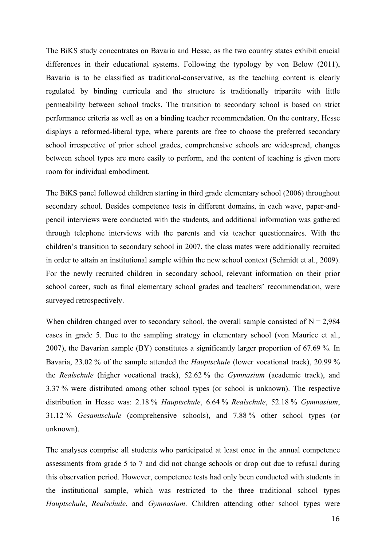The BiKS study concentrates on Bavaria and Hesse, as the two country states exhibit crucial differences in their educational systems. Following the typology by von Below (2011), Bavaria is to be classified as traditional-conservative, as the teaching content is clearly regulated by binding curricula and the structure is traditionally tripartite with little permeability between school tracks. The transition to secondary school is based on strict performance criteria as well as on a binding teacher recommendation. On the contrary, Hesse displays a reformed-liberal type, where parents are free to choose the preferred secondary school irrespective of prior school grades, comprehensive schools are widespread, changes between school types are more easily to perform, and the content of teaching is given more room for individual embodiment.

The BiKS panel followed children starting in third grade elementary school (2006) throughout secondary school. Besides competence tests in different domains, in each wave, paper-andpencil interviews were conducted with the students, and additional information was gathered through telephone interviews with the parents and via teacher questionnaires. With the children's transition to secondary school in 2007, the class mates were additionally recruited in order to attain an institutional sample within the new school context (Schmidt et al., 2009). For the newly recruited children in secondary school, relevant information on their prior school career, such as final elementary school grades and teachers' recommendation, were surveyed retrospectively.

When children changed over to secondary school, the overall sample consisted of  $N = 2,984$ cases in grade 5. Due to the sampling strategy in elementary school (von Maurice et al., 2007), the Bavarian sample (BY) constitutes a significantly larger proportion of 67.69 %. In Bavaria, 23.02 % of the sample attended the *Hauptschule* (lower vocational track), 20.99 % the *Realschule* (higher vocational track), 52.62 % the *Gymnasium* (academic track), and 3.37 % were distributed among other school types (or school is unknown). The respective distribution in Hesse was: 2.18 % *Hauptschule*, 6.64 % *Realschule*, 52.18 % *Gymnasium*, 31.12 % *Gesamtschule* (comprehensive schools), and 7.88 % other school types (or unknown).

The analyses comprise all students who participated at least once in the annual competence assessments from grade 5 to 7 and did not change schools or drop out due to refusal during this observation period. However, competence tests had only been conducted with students in the institutional sample, which was restricted to the three traditional school types *Hauptschule*, *Realschule*, and *Gymnasium*. Children attending other school types were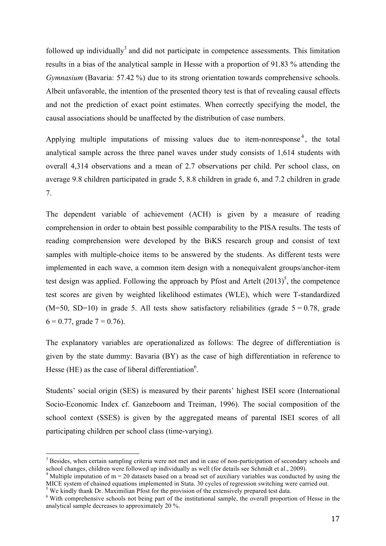followed up individually<sup>3</sup> and did not participate in competence assessments. This limitation results in a bias of the analytical sample in Hesse with a proportion of 91.83 % attending the *Gymnasium* (Bavaria: 57.42 %) due to its strong orientation towards comprehensive schools. Albeit unfavorable, the intention of the presented theory test is that of revealing causal effects and not the prediction of exact point estimates. When correctly specifying the model, the causal associations should be unaffected by the distribution of case numbers.

Applying multiple imputations of missing values due to item-nonresponse<sup>4</sup>, the total analytical sample across the three panel waves under study consists of 1,614 students with overall 4,314 observations and a mean of 2.7 observations per child. Per school class, on average 9.8 children participated in grade 5, 8.8 children in grade 6, and 7.2 children in grade 7.

The dependent variable of achievement (ACH) is given by a measure of reading comprehension in order to obtain best possible comparability to the PISA results. The tests of reading comprehension were developed by the BiKS research group and consist of text samples with multiple-choice items to be answered by the students. As different tests were implemented in each wave, a common item design with a nonequivalent groups/anchor-item test design was applied. Following the approach by Pfost and Artelt  $(2013)^5$ , the competence test scores are given by weighted likelihood estimates (WLE), which were T-standardized  $(M=50, SD=10)$  in grade 5. All tests show satisfactory reliabilities (grade  $5 = 0.78$ , grade  $6 = 0.77$ , grade  $7 = 0.76$ ).

The explanatory variables are operationalized as follows: The degree of differentiation is given by the state dummy: Bavaria (BY) as the case of high differentiation in reference to Hesse (HE) as the case of liberal differentiation<sup>6</sup>.

Students' social origin (SES) is measured by their parents' highest ISEI score (International Socio-Economic Index cf. Ganzeboom and Treiman, 1996). The social composition of the school context (SSES) is given by the aggregated means of parental ISEI scores of all participating children per school class (time-varying).

 $3$  Besides, when certain sampling criteria were not met and in case of non-participation of secondary schools and school changes, children were followed up individually as well (for details see Schmidt et al., 2009).

<sup>&</sup>lt;sup>4</sup> Multiple imputation of m = 20 datasets based on a broad set of auxiliary variables was conducted by using the MICE system of chained equations implemented in Stata. 30 cycles of regression switching were carried out.

<sup>&</sup>lt;sup>5</sup> We kindly thank Dr. Maximilian Pfost for the provision of the extensively prepared test data.

<sup>&</sup>lt;sup>6</sup> With comprehensive schools not being part of the institutional sample, the overall proportion of Hesse in the analytical sample decreases to approximately 20 %.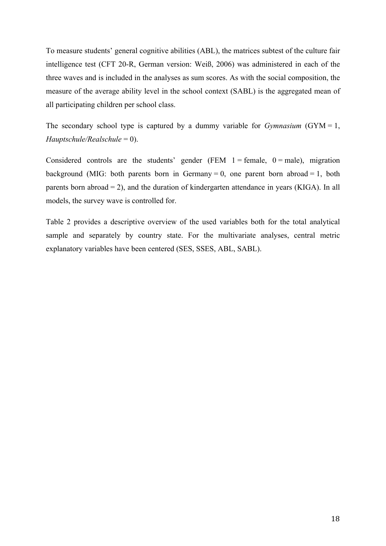To measure students' general cognitive abilities (ABL), the matrices subtest of the culture fair intelligence test (CFT 20-R, German version: Weiß, 2006) was administered in each of the three waves and is included in the analyses as sum scores. As with the social composition, the measure of the average ability level in the school context (SABL) is the aggregated mean of all participating children per school class.

The secondary school type is captured by a dummy variable for *Gymnasium* (GYM = 1, *Hauptschule/Realschule* = 0).

Considered controls are the students' gender (FEM  $1 = \text{female}$ ,  $0 = \text{male}$ ), migration background (MIG: both parents born in Germany = 0, one parent born abroad = 1, both parents born abroad = 2), and the duration of kindergarten attendance in years (KIGA). In all models, the survey wave is controlled for.

Table 2 provides a descriptive overview of the used variables both for the total analytical sample and separately by country state. For the multivariate analyses, central metric explanatory variables have been centered (SES, SSES, ABL, SABL).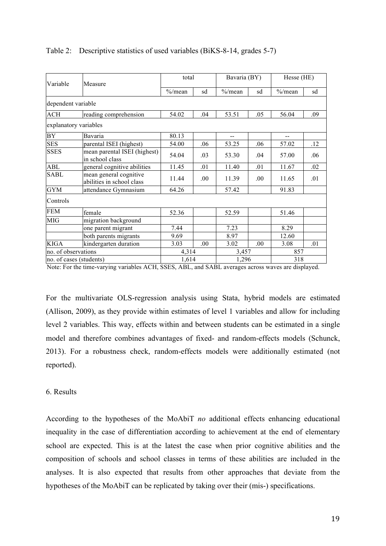| Variable                | Measure                                             | total      |      | Bavaria (BY) |      | Hesse (HE) |     |
|-------------------------|-----------------------------------------------------|------------|------|--------------|------|------------|-----|
|                         |                                                     | $\%$ /mean | sd   | $\%$ /mean   | sd   | $\%$ /mean | sd  |
| dependent variable      |                                                     |            |      |              |      |            |     |
| <b>ACH</b>              | reading comprehension                               | 54.02      | .04  | 53.51        | .05  | 56.04      | .09 |
| explanatory variables   |                                                     |            |      |              |      |            |     |
| <b>BY</b>               | Bavaria                                             | 80.13      |      | $-$          |      | $-$        |     |
| <b>SES</b>              | parental ISEI (highest)                             | 54.00      | .06  | 53.25        | .06  | 57.02      | .12 |
| <b>SSES</b>             | mean parental ISEI (highest)<br>in school class     | 54.04      | .03  | 53.30        | .04  | 57.00      | .06 |
| <b>ABL</b>              | general cognitive abilities                         | 11.45      | .01  | 11.40        | .01  | 11.67      | .02 |
| <b>SABL</b>             | mean general cognitive<br>abilities in school class | 11.44      | .00. | 11.39        | .00. | 11.65      | .01 |
| <b>GYM</b>              | attendance Gymnasium                                | 64.26      |      | 57.42        |      | 91.83      |     |
| Controls                |                                                     |            |      |              |      |            |     |
| <b>FEM</b>              | female                                              | 52.36      |      | 52.59        |      | 51.46      |     |
| <b>MIG</b>              | migration background                                |            |      |              |      |            |     |
|                         | one parent migrant                                  | 7.44       |      | 7.23         |      | 8.29       |     |
|                         | both parents migrants                               | 9.69       |      | 8.97         |      | 12.60      |     |
| <b>KIGA</b>             | kindergarten duration                               | 3.03       | .00  | 3.02         | .00  | 3.08       | .01 |
| no. of observations     |                                                     | 4,314      |      | 3,457        |      | 857        |     |
| no. of cases (students) |                                                     | 1,614      |      | 1,296        |      | 318        |     |

# Table 2: Descriptive statistics of used variables (BiKS-8-14, grades 5-7)

Note: For the time-varying variables ACH, SSES, ABL, and SABL averages across waves are displayed.

For the multivariate OLS-regression analysis using Stata, hybrid models are estimated (Allison, 2009), as they provide within estimates of level 1 variables and allow for including level 2 variables. This way, effects within and between students can be estimated in a single model and therefore combines advantages of fixed- and random-effects models (Schunck, 2013). For a robustness check, random-effects models were additionally estimated (not reported).

# 6. Results

According to the hypotheses of the MoAbiT *no* additional effects enhancing educational inequality in the case of differentiation according to achievement at the end of elementary school are expected. This is at the latest the case when prior cognitive abilities and the composition of schools and school classes in terms of these abilities are included in the analyses. It is also expected that results from other approaches that deviate from the hypotheses of the MoAbiT can be replicated by taking over their (mis-) specifications.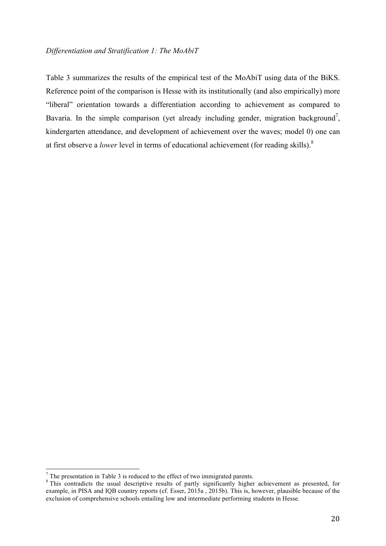# *Differentiation and Stratification 1: The MoAbiT*

Table 3 summarizes the results of the empirical test of the MoAbiT using data of the BiKS. Reference point of the comparison is Hesse with its institutionally (and also empirically) more "liberal" orientation towards a differentiation according to achievement as compared to Bavaria. In the simple comparison (yet already including gender, migration background<sup>7</sup>, kindergarten attendance, and development of achievement over the waves; model 0) one can at first observe a *lower* level in terms of educational achievement (for reading skills).8

 $<sup>7</sup>$  The presentation in Table 3 is reduced to the effect of two immigrated parents.</sup>

<sup>&</sup>lt;sup>8</sup>This contradicts the usual descriptive results of partly significantly higher achievement as presented, for example, in PISA and IQB country reports (cf. Esser, 2015a , 2015b). This is, however, plausible because of the exclusion of comprehensive schools entailing low and intermediate performing students in Hesse.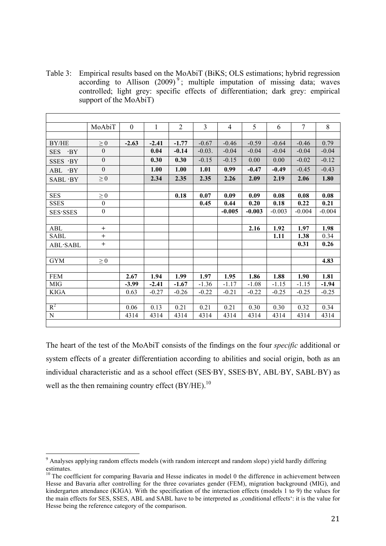Table 3: Empirical results based on the MoAbiT (BiKS; OLS estimations; hybrid regression according to Allison  $(2009)^9$ ; multiple imputation of missing data; waves controlled; light grey: specific effects of differentiation; dark grey: empirical support of the MoAbiT)

|                          | MoAbiT           | $\theta$ | 1       | $\overline{2}$ | 3         | 4        | 5        | 6        | $\overline{7}$ | 8        |
|--------------------------|------------------|----------|---------|----------------|-----------|----------|----------|----------|----------------|----------|
|                          |                  |          |         |                |           |          |          |          |                |          |
| BY/HE                    | $\geq 0$         | $-2.63$  | $-2.41$ | $-1.77$        | $-0.67$   | $-0.46$  | $-0.59$  | $-0.64$  | $-0.46$        | 0.79     |
| <b>SES</b><br>$\cdot$ BY | $\theta$         |          | 0.04    | $-0.14$        | $-0.03$ . | $-0.04$  | $-0.04$  | $-0.04$  | $-0.04$        | $-0.04$  |
| SSES ·BY                 | $\overline{0}$   |          | 0.30    | 0.30           | $-0.15$   | $-0.15$  | 0.00     | 0.00     | $-0.02$        | $-0.12$  |
| ABL<br>$\cdot$ BY        | $\theta$         |          | 1.00    | 1.00           | 1.01      | 0.99     | $-0.47$  | $-0.49$  | $-0.45$        | $-0.43$  |
| $SABI \cdot BY$          | $\geq 0$         |          | 2.34    | 2.35           | 2.35      | 2.26     | 2.09     | 2.19     | 2.06           | 1.80     |
|                          |                  |          |         |                |           |          |          |          |                |          |
| <b>SES</b>               | $\geq 0$         |          |         | 0.18           | 0.07      | 0.09     | 0.09     | 0.08     | 0.08           | 0.08     |
| <b>SSES</b>              | $\boldsymbol{0}$ |          |         |                | 0.45      | 0.44     | 0.20     | 0.18     | 0.22           | 0.21     |
| <b>SES</b> ·SSES         | $\boldsymbol{0}$ |          |         |                |           | $-0.005$ | $-0.003$ | $-0.003$ | $-0.004$       | $-0.004$ |
|                          |                  |          |         |                |           |          |          |          |                |          |
| ABL                      | $+$              |          |         |                |           |          | 2.16     | 1.92     | 1.97           | 1.98     |
| <b>SABL</b>              | $\ddot{}$        |          |         |                |           |          |          | 1.11     | 1.38           | 0.34     |
| ABL·SABL                 | $+$              |          |         |                |           |          |          |          | 0.31           | 0.26     |
|                          |                  |          |         |                |           |          |          |          |                |          |
| <b>GYM</b>               | $\geq 0$         |          |         |                |           |          |          |          |                | 4.83     |
|                          |                  |          |         |                |           |          |          |          |                |          |
| <b>FEM</b>               |                  | 2.67     | 1.94    | 1.99           | 1.97      | 1.95     | 1.86     | 1.88     | 1.90           | 1.81     |
| <b>MIG</b>               |                  | $-3.99$  | $-2.41$ | $-1.67$        | $-1.36$   | $-1.17$  | $-1.08$  | $-1.15$  | $-1.15$        | $-1.94$  |
| <b>KIGA</b>              |                  | 0.63     | $-0.27$ | $-0.26$        | $-0.22$   | $-0.21$  | $-0.22$  | $-0.25$  | $-0.25$        | $-0.25$  |
|                          |                  |          |         |                |           |          |          |          |                |          |
| $R^2$                    |                  | 0.06     | 0.13    | 0.21           | 0.21      | 0.21     | 0.30     | 0.30     | 0.32           | 0.34     |
| $\mathbf N$              |                  | 4314     | 4314    | 4314           | 4314      | 4314     | 4314     | 4314     | 4314           | 4314     |

The heart of the test of the MoAbiT consists of the findings on the four *specific* additional or system effects of a greater differentiation according to abilities and social origin, both as an individual characteristic and as a school effect (SES·BY, SSES·BY, ABL·BY, SABL·BY) as well as the then remaining country effect  $(BY/HE)^{10}$ .

<sup>&</sup>lt;sup>9</sup> Analyses applying random effects models (with random intercept and random slope) yield hardly differing estimates.

 $10$  The coefficient for comparing Bavaria and Hesse indicates in model 0 the difference in achievement between Hesse and Bavaria after controlling for the three covariates gender (FEM), migration background (MIG), and kindergarten attendance (KIGA). With the specification of the interaction effects (models 1 to 9) the values for the main effects for SES, SSES, ABL and SABL have to be interpreted as , conditional effects': it is the value for Hesse being the reference category of the comparison.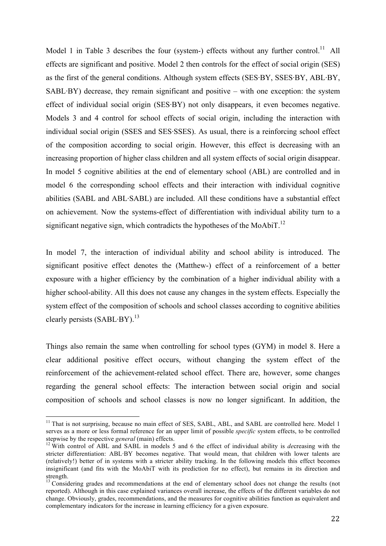Model 1 in Table 3 describes the four (system-) effects without any further control.<sup>11</sup> All effects are significant and positive. Model 2 then controls for the effect of social origin (SES) as the first of the general conditions. Although system effects (SES·BY, SSES·BY, ABL·BY, SABL·BY) decrease, they remain significant and positive – with one exception: the system effect of individual social origin (SES·BY) not only disappears, it even becomes negative. Models 3 and 4 control for school effects of social origin, including the interaction with individual social origin (SSES and SES·SSES). As usual, there is a reinforcing school effect of the composition according to social origin. However, this effect is decreasing with an increasing proportion of higher class children and all system effects of social origin disappear. In model 5 cognitive abilities at the end of elementary school (ABL) are controlled and in model 6 the corresponding school effects and their interaction with individual cognitive abilities (SABL and ABL·SABL) are included. All these conditions have a substantial effect on achievement. Now the systems-effect of differentiation with individual ability turn to a significant negative sign, which contradicts the hypotheses of the MoAbiT.<sup>12</sup>

In model 7, the interaction of individual ability and school ability is introduced. The significant positive effect denotes the (Matthew-) effect of a reinforcement of a better exposure with a higher efficiency by the combination of a higher individual ability with a higher school-ability. All this does not cause any changes in the system effects. Especially the system effect of the composition of schools and school classes according to cognitive abilities clearly persists  $(SABL·BY)$ <sup>13</sup>

Things also remain the same when controlling for school types (GYM) in model 8. Here a clear additional positive effect occurs, without changing the system effect of the reinforcement of the achievement-related school effect. There are, however, some changes regarding the general school effects: The interaction between social origin and social composition of schools and school classes is now no longer significant. In addition, the

 $<sup>11</sup>$  That is not surprising, because no main effect of SES, SABL, ABL, and SABL are controlled here. Model 1</sup> serves as a more or less formal reference for an upper limit of possible *specific* system effects, to be controlled

stepwise by the respective *general* (main) effects. <sup>12</sup> With control of ABL and SABL in models 5 and 6 the effect of individual ability is *de*creasing with the stricter differentiation: ABL·BY becomes negative. That would mean, that children with lower talents are (relatively!) better of in systems with a stricter ability tracking. In the following models this effect becomes insignificant (and fits with the MoAbiT with its prediction for no effect), but remains in its direction and strength.

<sup>&</sup>lt;sup>13</sup> Considering grades and recommendations at the end of elementary school does not change the results (not reported). Although in this case explained variances overall increase, the effects of the different variables do not change. Obviously, grades, recommendations, and the measures for cognitive abilities function as equivalent and complementary indicators for the increase in learning efficiency for a given exposure.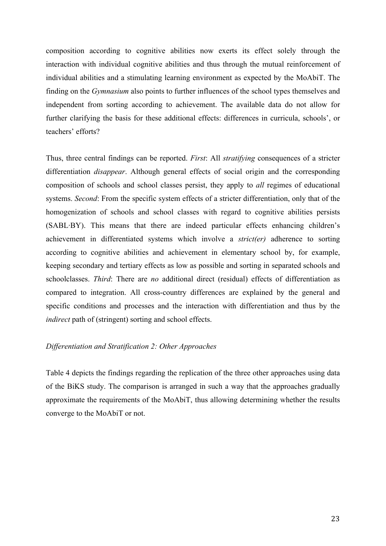composition according to cognitive abilities now exerts its effect solely through the interaction with individual cognitive abilities and thus through the mutual reinforcement of individual abilities and a stimulating learning environment as expected by the MoAbiT. The finding on the *Gymnasium* also points to further influences of the school types themselves and independent from sorting according to achievement. The available data do not allow for further clarifying the basis for these additional effects: differences in curricula, schools', or teachers' efforts?

Thus, three central findings can be reported. *First*: All *stratifying* consequences of a stricter differentiation *disappear*. Although general effects of social origin and the corresponding composition of schools and school classes persist, they apply to *all* regimes of educational systems. *Second*: From the specific system effects of a stricter differentiation, only that of the homogenization of schools and school classes with regard to cognitive abilities persists (SABL·BY). This means that there are indeed particular effects enhancing children's achievement in differentiated systems which involve a *strict(er)* adherence to sorting according to cognitive abilities and achievement in elementary school by, for example, keeping secondary and tertiary effects as low as possible and sorting in separated schools and schoolclasses. *Third*: There are *no* additional direct (residual) effects of differentiation as compared to integration. All cross-country differences are explained by the general and specific conditions and processes and the interaction with differentiation and thus by the *indirect* path of (stringent) sorting and school effects.

### *Differentiation and Stratification 2: Other Approaches*

Table 4 depicts the findings regarding the replication of the three other approaches using data of the BiKS study. The comparison is arranged in such a way that the approaches gradually approximate the requirements of the MoAbiT, thus allowing determining whether the results converge to the MoAbiT or not.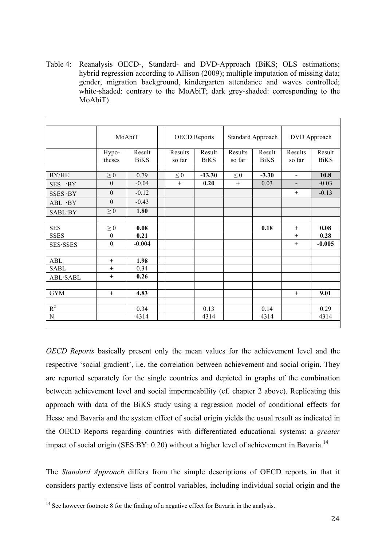Table 4: Reanalysis OECD-, Standard- and DVD-Approach (BiKS; OLS estimations; hybrid regression according to Allison (2009); multiple imputation of missing data; gender, migration background, kindergarten attendance and waves controlled; white-shaded: contrary to the MoAbiT; dark grey-shaded: corresponding to the MoAbiT)

|                          |                  | MoAbiT      |  | <b>OECD Reports</b> |             | Standard Approach |             | DVD Approach   |             |
|--------------------------|------------------|-------------|--|---------------------|-------------|-------------------|-------------|----------------|-------------|
|                          | Hypo-            | Result      |  | Results             | Result      | Results           | Result      | Results        | Result      |
|                          | theses           | <b>BiKS</b> |  | so far              | <b>BiKS</b> | so far            | <b>BiKS</b> | so far         | <b>BiKS</b> |
|                          |                  |             |  |                     |             |                   |             |                |             |
| BY/HE                    | $\geq 0$         | 0.79        |  | $\leq 0$            | $-13.30$    | $\leq 0$          | $-3.30$     | $\blacksquare$ | 10.8        |
| $\cdot$ BY<br><b>SES</b> | $\theta$         | $-0.04$     |  | $+$                 | 0.20        | $+$               | 0.03        |                | $-0.03$     |
| SSES · BY                | $\boldsymbol{0}$ | $-0.12$     |  |                     |             |                   |             | $+$            | $-0.13$     |
| ABL ·BY                  | $\mathbf{0}$     | $-0.43$     |  |                     |             |                   |             |                |             |
| <b>SABL</b> ·BY          | $\geq 0$         | 1.80        |  |                     |             |                   |             |                |             |
|                          |                  |             |  |                     |             |                   |             |                |             |
| <b>SES</b>               | $\geq 0$         | 0.08        |  |                     |             |                   | 0.18        | $+$            | 0.08        |
| <b>SSES</b>              | $\theta$         | 0.21        |  |                     |             |                   |             | $+$            | 0.28        |
| <b>SES</b> ·SSES         | $\boldsymbol{0}$ | $-0.004$    |  |                     |             |                   |             | $+$            | $-0.005$    |
|                          |                  |             |  |                     |             |                   |             |                |             |
| <b>ABL</b>               | $+$              | 1.98        |  |                     |             |                   |             |                |             |
| <b>SABL</b>              | $\ddot{}$        | 0.34        |  |                     |             |                   |             |                |             |
| ABL·SABL                 | $+$              | 0.26        |  |                     |             |                   |             |                |             |
|                          |                  |             |  |                     |             |                   |             |                |             |
| <b>GYM</b>               | $+$              | 4.83        |  |                     |             |                   |             | $^{+}$         | 9.01        |
|                          |                  |             |  |                     |             |                   |             |                |             |
| $R^2$                    |                  | 0.34        |  |                     | 0.13        |                   | 0.14        |                | 0.29        |
| ${\bf N}$                |                  | 4314        |  |                     | 4314        |                   | 4314        |                | 4314        |

*OECD Reports* basically present only the mean values for the achievement level and the respective 'social gradient', i.e. the correlation between achievement and social origin. They are reported separately for the single countries and depicted in graphs of the combination between achievement level and social impermeability (cf. chapter 2 above). Replicating this approach with data of the BiKS study using a regression model of conditional effects for Hesse and Bavaria and the system effect of social origin yields the usual result as indicated in the OECD Reports regarding countries with differentiated educational systems: a *greater* impact of social origin (SES·BY: 0.20) without a higher level of achievement in Bavaria.<sup>14</sup>

The *Standard Approach* differs from the simple descriptions of OECD reports in that it considers partly extensive lists of control variables, including individual social origin and the

 $14$  See however footnote 8 for the finding of a negative effect for Bavaria in the analysis.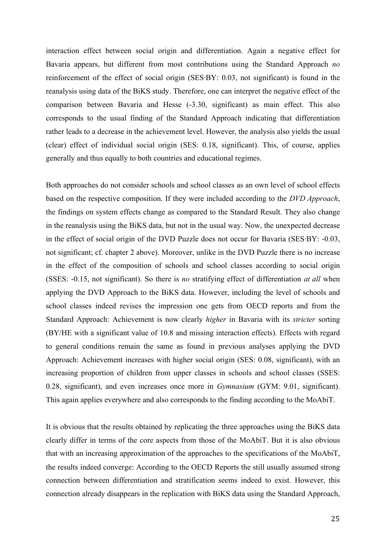interaction effect between social origin and differentiation. Again a negative effect for Bavaria appears, but different from most contributions using the Standard Approach *no* reinforcement of the effect of social origin (SES·BY: 0.03, not significant) is found in the reanalysis using data of the BiKS study. Therefore, one can interpret the negative effect of the comparison between Bavaria and Hesse (-3.30, significant) as main effect. This also corresponds to the usual finding of the Standard Approach indicating that differentiation rather leads to a decrease in the achievement level. However, the analysis also yields the usual (clear) effect of individual social origin (SES: 0.18, significant). This, of course, applies generally and thus equally to both countries and educational regimes.

Both approaches do not consider schools and school classes as an own level of school effects based on the respective composition. If they were included according to the *DVD Approach*, the findings on system effects change as compared to the Standard Result. They also change in the reanalysis using the BiKS data, but not in the usual way. Now, the unexpected decrease in the effect of social origin of the DVD Puzzle does not occur for Bavaria (SES·BY: -0.03, not significant; cf. chapter 2 above). Moreover, unlike in the DVD Puzzle there is no increase in the effect of the composition of schools and school classes according to social origin (SSES: -0.15, not significant). So there is *no* stratifying effect of differentiation *at all* when applying the DVD Approach to the BiKS data. However, including the level of schools and school classes indeed revises the impression one gets from OECD reports and from the Standard Approach: Achievement is now clearly *higher* in Bavaria with its *stricter* sorting (BY/HE with a significant value of 10.8 and missing interaction effects). Effects with regard to general conditions remain the same as found in previous analyses applying the DVD Approach: Achievement increases with higher social origin (SES: 0.08, significant), with an increasing proportion of children from upper classes in schools and school classes (SSES: 0.28, significant), and even increases once more in *Gymnasium* (GYM: 9.01, significant). This again applies everywhere and also corresponds to the finding according to the MoAbiT.

It is obvious that the results obtained by replicating the three approaches using the BiKS data clearly differ in terms of the core aspects from those of the MoAbiT. But it is also obvious that with an increasing approximation of the approaches to the specifications of the MoAbiT, the results indeed converge: According to the OECD Reports the still usually assumed strong connection between differentiation and stratification seems indeed to exist. However, this connection already disappears in the replication with BiKS data using the Standard Approach,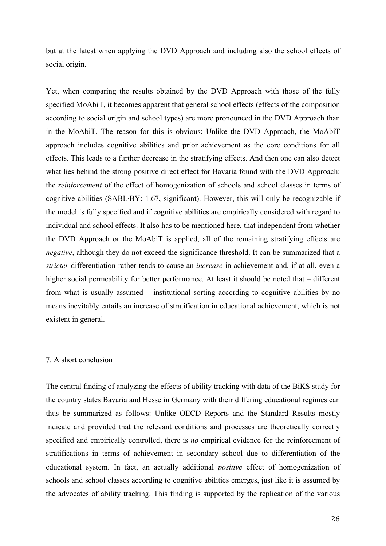but at the latest when applying the DVD Approach and including also the school effects of social origin.

Yet, when comparing the results obtained by the DVD Approach with those of the fully specified MoAbiT, it becomes apparent that general school effects (effects of the composition according to social origin and school types) are more pronounced in the DVD Approach than in the MoAbiT. The reason for this is obvious: Unlike the DVD Approach, the MoAbiT approach includes cognitive abilities and prior achievement as the core conditions for all effects. This leads to a further decrease in the stratifying effects. And then one can also detect what lies behind the strong positive direct effect for Bavaria found with the DVD Approach: the *reinforcement* of the effect of homogenization of schools and school classes in terms of cognitive abilities (SABL·BY: 1.67, significant). However, this will only be recognizable if the model is fully specified and if cognitive abilities are empirically considered with regard to individual and school effects. It also has to be mentioned here, that independent from whether the DVD Approach or the MoAbiT is applied, all of the remaining stratifying effects are *negative*, although they do not exceed the significance threshold. It can be summarized that a *stricter* differentiation rather tends to cause an *increase* in achievement and, if at all, even a higher social permeability for better performance. At least it should be noted that – different from what is usually assumed – institutional sorting according to cognitive abilities by no means inevitably entails an increase of stratification in educational achievement, which is not existent in general.

### 7. A short conclusion

The central finding of analyzing the effects of ability tracking with data of the BiKS study for the country states Bavaria and Hesse in Germany with their differing educational regimes can thus be summarized as follows: Unlike OECD Reports and the Standard Results mostly indicate and provided that the relevant conditions and processes are theoretically correctly specified and empirically controlled, there is *no* empirical evidence for the reinforcement of stratifications in terms of achievement in secondary school due to differentiation of the educational system. In fact, an actually additional *positive* effect of homogenization of schools and school classes according to cognitive abilities emerges, just like it is assumed by the advocates of ability tracking. This finding is supported by the replication of the various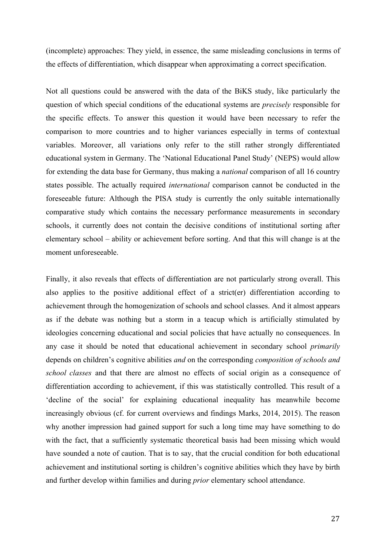(incomplete) approaches: They yield, in essence, the same misleading conclusions in terms of the effects of differentiation, which disappear when approximating a correct specification.

Not all questions could be answered with the data of the BiKS study, like particularly the question of which special conditions of the educational systems are *precisely* responsible for the specific effects. To answer this question it would have been necessary to refer the comparison to more countries and to higher variances especially in terms of contextual variables. Moreover, all variations only refer to the still rather strongly differentiated educational system in Germany. The 'National Educational Panel Study' (NEPS) would allow for extending the data base for Germany, thus making a *national* comparison of all 16 country states possible. The actually required *international* comparison cannot be conducted in the foreseeable future: Although the PISA study is currently the only suitable internationally comparative study which contains the necessary performance measurements in secondary schools, it currently does not contain the decisive conditions of institutional sorting after elementary school – ability or achievement before sorting. And that this will change is at the moment unforeseeable.

Finally, it also reveals that effects of differentiation are not particularly strong overall. This also applies to the positive additional effect of a strict(er) differentiation according to achievement through the homogenization of schools and school classes. And it almost appears as if the debate was nothing but a storm in a teacup which is artificially stimulated by ideologies concerning educational and social policies that have actually no consequences. In any case it should be noted that educational achievement in secondary school *primarily* depends on children's cognitive abilities *and* on the corresponding *composition of schools and school classes* and that there are almost no effects of social origin as a consequence of differentiation according to achievement, if this was statistically controlled. This result of a 'decline of the social' for explaining educational inequality has meanwhile become increasingly obvious (cf. for current overviews and findings Marks, 2014, 2015). The reason why another impression had gained support for such a long time may have something to do with the fact, that a sufficiently systematic theoretical basis had been missing which would have sounded a note of caution. That is to say, that the crucial condition for both educational achievement and institutional sorting is children's cognitive abilities which they have by birth and further develop within families and during *prior* elementary school attendance.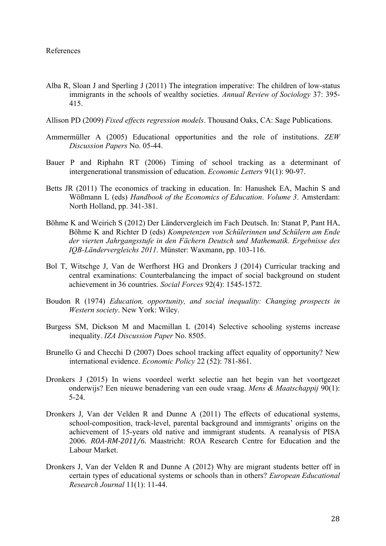- Alba R, Sloan J and Sperling J (2011) The integration imperative: The children of low-status immigrants in the schools of wealthy societies. *Annual Review of Sociology* 37: 395- 415.
- Allison PD (2009) *Fixed effects regression models*. Thousand Oaks, CA: Sage Publications.
- Ammermüller A (2005) Educational opportunities and the role of institutions. *ZEW Discussion Papers* No. 05-44.
- Bauer P and Riphahn RT (2006) Timing of school tracking as a determinant of intergenerational transmission of education. *Economic Letters* 91(1): 90-97.
- Betts JR (2011) The economics of tracking in education. In: Hanushek EA, Machin S and Wößmann L (eds) *Handbook of the Economics of Education*. *Volume 3*. Amsterdam: North Holland, pp. 341-381.
- Böhme K and Weirich S (2012) Der Ländervergleich im Fach Deutsch. In: Stanat P, Pant HA, Böhme K and Richter D (eds) *Kompetenzen von Schülerinnen und Schülern am Ende der vierten Jahrgangsstufe in den Fächern Deutsch und Mathematik. Ergebnisse des IQB-Ländervergleichs 2011*. Münster: Waxmann, pp. 103-116.
- Bol T, Witschge J, Van de Werfhorst HG and Dronkers J (2014) Curricular tracking and central examinations: Counterbalancing the impact of social background on student achievement in 36 countries. *Social Forces* 92(4): 1545-1572.
- Boudon R (1974) *Education, opportunity, and social inequality: Changing prospects in Western society*. New York: Wiley.
- Burgess SM, Dickson M and Macmillan L (2014) Selective schooling systems increase inequality. *IZA Discussion Paper* No. 8505.
- Brunello G and Checchi D (2007) Does school tracking affect equality of opportunity? New international evidence. *Economic Policy* 22 (52): 781-861.
- Dronkers J (2015) In wiens voordeel werkt selectie aan het begin van het voortgezet onderwijs? Een nieuwe benadering van een oude vraag. *Mens & Maatschappij* 90(1): 5-24.
- Dronkers J, Van der Velden R and Dunne A (2011) The effects of educational systems, school-composition, track-level, parental background and immigrants' origins on the achievement of 15-years old native and immigrant students. A reanalysis of PISA 2006. *ROA-RM-2011/6*. Maastricht: ROA Research Centre for Education and the Labour Market.
- Dronkers J, Van der Velden R and Dunne A (2012) Why are migrant students better off in certain types of educational systems or schools than in others? *European Educational Research Journal* 11(1): 11-44.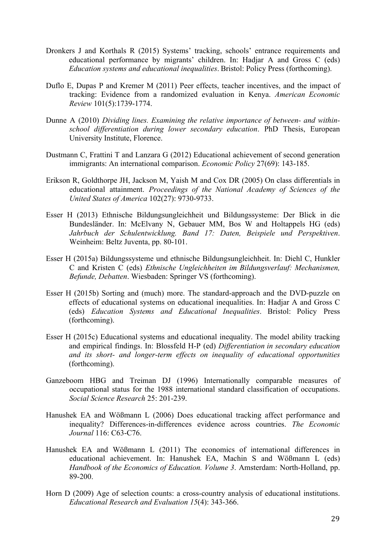- Dronkers J and Korthals R (2015) Systems' tracking, schools' entrance requirements and educational performance by migrants' children. In: Hadjar A and Gross C (eds) *Education systems and educational inequalities*. Bristol: Policy Press (forthcoming).
- Duflo E, Dupas P and Kremer M (2011) Peer effects, teacher incentives, and the impact of tracking: Evidence from a randomized evaluation in Kenya. *American Economic Review* 101(5):1739-1774.
- Dunne A (2010) *Dividing lines. Examining the relative importance of between- and withinschool differentiation during lower secondary education*. PhD Thesis, European University Institute, Florence.
- Dustmann C, Frattini T and Lanzara G (2012) Educational achievement of second generation immigrants: An international comparison. *Economic Policy* 27(69): 143-185.
- Erikson R, Goldthorpe JH, Jackson M, Yaish M and Cox DR (2005) On class differentials in educational attainment. *Proceedings of the National Academy of Sciences of the United States of America* 102(27): 9730-9733.
- Esser H (2013) Ethnische Bildungsungleichheit und Bildungssysteme: Der Blick in die Bundesländer. In: McElvany N, Gebauer MM, Bos W and Holtappels HG (eds) *Jahrbuch der Schulentwicklung. Band 17: Daten, Beispiele und Perspektiven*. Weinheim: Beltz Juventa, pp. 80-101.
- Esser H (2015a) Bildungssysteme und ethnische Bildungsungleichheit. In: Diehl C, Hunkler C and Kristen C (eds) *Ethnische Ungleichheiten im Bildungsverlauf: Mechanismen, Befunde, Debatten*. Wiesbaden: Springer VS (forthcoming).
- Esser H (2015b) Sorting and (much) more. The standard-approach and the DVD-puzzle on effects of educational systems on educational inequalities. In: Hadjar A and Gross C (eds) *Education Systems and Educational Inequalities*. Bristol: Policy Press (forthcoming).
- Esser H (2015c) Educational systems and educational inequality. The model ability tracking and empirical findings. In: Blossfeld H-P (ed) *Differentiation in secondary education and its short- and longer-term effects on inequality of educational opportunities* (forthcoming).
- Ganzeboom HBG and Treiman DJ (1996) Internationally comparable measures of occupational status for the 1988 international standard classification of occupations. *Social Science Research* 25: 201-239.
- Hanushek EA and Wößmann L (2006) Does educational tracking affect performance and inequality? Differences-in-differences evidence across countries. *The Economic Journal* 116: C63-C76.
- Hanushek EA and Wößmann L (2011) The economics of international differences in educational achievement. In: Hanushek EA, Machin S and Wößmann L (eds) *Handbook of the Economics of Education. Volume 3*. Amsterdam: North-Holland, pp. 89-200.
- Horn D (2009) Age of selection counts: a cross-country analysis of educational institutions. *Educational Research and Evaluation 15*(4): 343-366.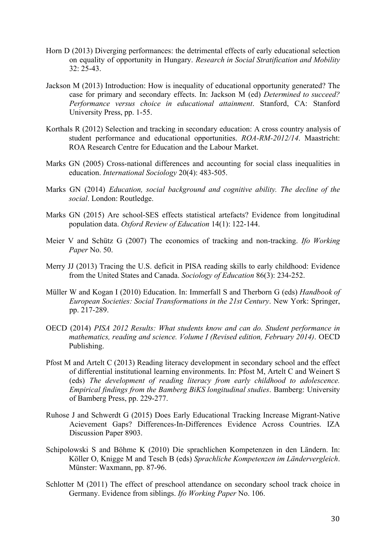- Horn D (2013) Diverging performances: the detrimental effects of early educational selection on equality of opportunity in Hungary. *Research in Social Stratification and Mobility*  32: 25-43.
- Jackson M (2013) Introduction: How is inequality of educational opportunity generated? The case for primary and secondary effects. In: Jackson M (ed) *Determined to succeed? Performance versus choice in educational attainment*. Stanford, CA: Stanford University Press, pp. 1-55.
- Korthals R (2012) Selection and tracking in secondary education: A cross country analysis of student performance and educational opportunities. *ROA-RM-2012/14*. Maastricht: ROA Research Centre for Education and the Labour Market.
- Marks GN (2005) Cross-national differences and accounting for social class inequalities in education. *International Sociology* 20(4): 483-505.
- Marks GN (2014) *Education, social background and cognitive ability. The decline of the social*. London: Routledge.
- Marks GN (2015) Are school-SES effects statistical artefacts? Evidence from longitudinal population data. *Oxford Review of Education* 14(1): 122-144.
- Meier V and Schütz G (2007) The economics of tracking and non-tracking. *Ifo Working Paper* No. 50.
- Merry JJ (2013) Tracing the U.S. deficit in PISA reading skills to early childhood: Evidence from the United States and Canada. *Sociology of Education* 86(3): 234-252.
- Müller W and Kogan I (2010) Education. In: Immerfall S and Therborn G (eds) *Handbook of European Societies: Social Transformations in the 21st Century*. New York: Springer, pp. 217-289.
- OECD (2014) *PISA 2012 Results: What students know and can do. Student performance in mathematics, reading and science. Volume I (Revised edition, February 2014)*. OECD Publishing.
- Pfost M and Artelt C (2013) Reading literacy development in secondary school and the effect of differential institutional learning environments. In: Pfost M, Artelt C and Weinert S (eds) *The development of reading literacy from early childhood to adolescence. Empirical findings from the Bamberg BiKS longitudinal studies*. Bamberg: University of Bamberg Press, pp. 229-277.
- Ruhose J and Schwerdt G (2015) Does Early Educational Tracking Increase Migrant-Native Acievement Gaps? Differences-In-Differences Evidence Across Countries. IZA Discussion Paper 8903.
- Schipolowski S and Böhme K (2010) Die sprachlichen Kompetenzen in den Ländern. In: Köller O, Knigge M and Tesch B (eds) *Sprachliche Kompetenzen im Ländervergleich*. Münster: Waxmann, pp. 87-96.
- Schlotter M (2011) The effect of preschool attendance on secondary school track choice in Germany. Evidence from siblings. *Ifo Working Paper* No. 106.